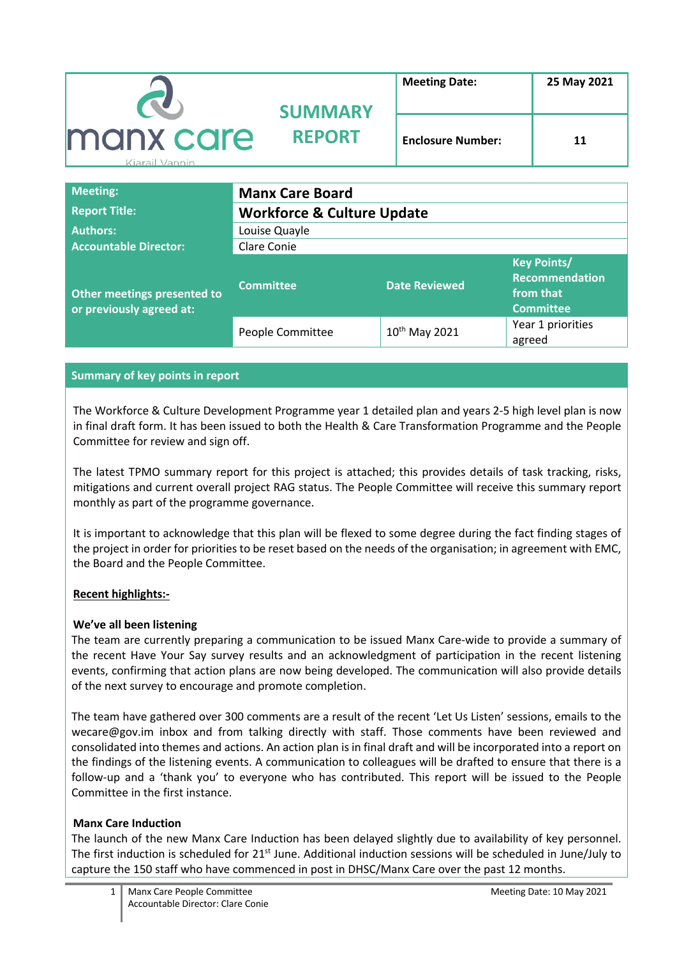|                             | <b>SUMMARY</b> | <b>Meeting Date:</b>     | 25 May 2021 |
|-----------------------------|----------------|--------------------------|-------------|
| manx care<br>Kiarail Vannin | <b>REPORT</b>  | <b>Enclosure Number:</b> | 11          |

| <b>Meeting:</b>                                         | <b>Manx Care Board</b>                |                           |                                                                              |
|---------------------------------------------------------|---------------------------------------|---------------------------|------------------------------------------------------------------------------|
| <b>Report Title:</b>                                    | <b>Workforce &amp; Culture Update</b> |                           |                                                                              |
| <b>Authors:</b>                                         | Louise Quayle                         |                           |                                                                              |
| <b>Accountable Director:</b>                            | Clare Conie                           |                           |                                                                              |
| Other meetings presented to<br>or previously agreed at: | <b>Committee</b>                      | <b>Date Reviewed</b>      | <b>Key Points/</b><br><b>Recommendation</b><br>from that<br><b>Committee</b> |
|                                                         | People Committee                      | 10 <sup>th</sup> May 2021 | Year 1 priorities<br>agreed                                                  |

### **Summary of key points in report**

The Workforce & Culture Development Programme year 1 detailed plan and years 2-5 high level plan is now in final draft form. It has been issued to both the Health & Care Transformation Programme and the People Committee for review and sign off.

The latest TPMO summary report for this project is attached; this provides details of task tracking, risks, mitigations and current overall project RAG status. The People Committee will receive this summary report monthly as part of the programme governance.

It is important to acknowledge that this plan will be flexed to some degree during the fact finding stages of the project in order for priorities to be reset based on the needs of the organisation; in agreement with EMC, the Board and the People Committee.

### **Recent highlights:-**

### **We've all been listening**

The team are currently preparing a communication to be issued Manx Care-wide to provide a summary of the recent Have Your Say survey results and an acknowledgment of participation in the recent listening events, confirming that action plans are now being developed. The communication will also provide details of the next survey to encourage and promote completion.

The team have gathered over 300 comments are a result of the recent 'Let Us Listen' sessions, emails to the wecare@gov.im inbox and from talking directly with staff. Those comments have been reviewed and consolidated into themes and actions. An action plan is in final draft and will be incorporated into a report on the findings of the listening events. A communication to colleagues will be drafted to ensure that there is a follow-up and a 'thank you' to everyone who has contributed. This report will be issued to the People Committee in the first instance.

### **Manx Care Induction**

The launch of the new Manx Care Induction has been delayed slightly due to availability of key personnel. The first induction is scheduled for  $21<sup>st</sup>$  June. Additional induction sessions will be scheduled in June/July to capture the 150 staff who have commenced in post in DHSC/Manx Care over the past 12 months.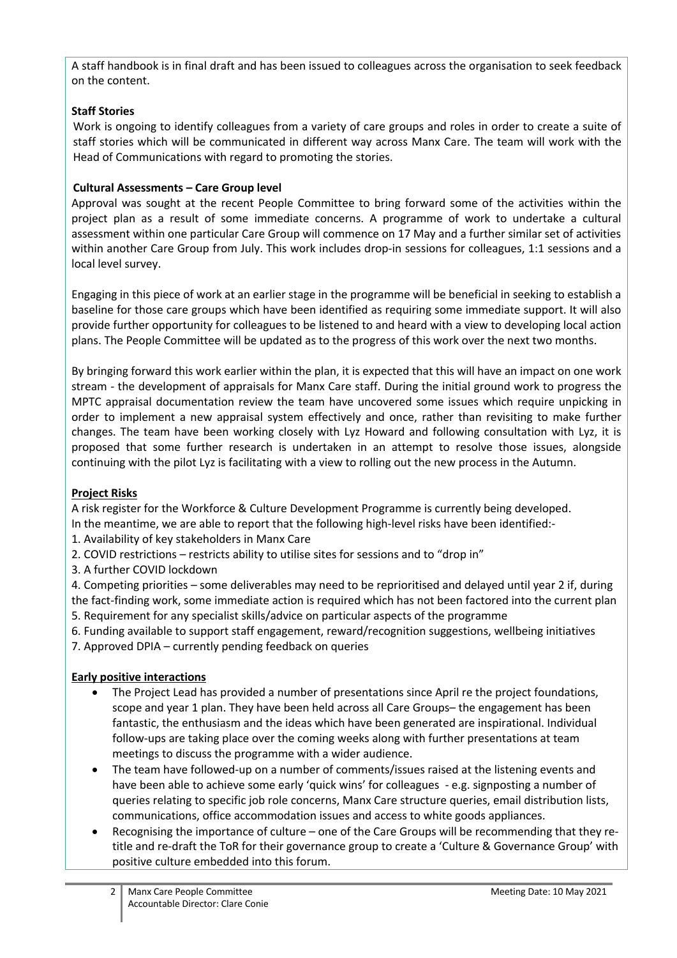A staff handbook is in final draft and has been issued to colleagues across the organisation to seek feedback on the content.

## **Staff Stories**

Work is ongoing to identify colleagues from a variety of care groups and roles in order to create a suite of staff stories which will be communicated in different way across Manx Care. The team will work with the Head of Communications with regard to promoting the stories.

## **Cultural Assessments – Care Group level**

Approval was sought at the recent People Committee to bring forward some of the activities within the project plan as a result of some immediate concerns. A programme of work to undertake a cultural assessment within one particular Care Group will commence on 17 May and a further similar set of activities within another Care Group from July. This work includes drop-in sessions for colleagues, 1:1 sessions and a local level survey.

Engaging in this piece of work at an earlier stage in the programme will be beneficial in seeking to establish a baseline for those care groups which have been identified as requiring some immediate support. It will also provide further opportunity for colleagues to be listened to and heard with a view to developing local action plans. The People Committee will be updated as to the progress of this work over the next two months.

By bringing forward this work earlier within the plan, it is expected that this will have an impact on one work stream - the development of appraisals for Manx Care staff. During the initial ground work to progress the MPTC appraisal documentation review the team have uncovered some issues which require unpicking in order to implement a new appraisal system effectively and once, rather than revisiting to make further changes. The team have been working closely with Lyz Howard and following consultation with Lyz, it is proposed that some further research is undertaken in an attempt to resolve those issues, alongside continuing with the pilot Lyz is facilitating with a view to rolling out the new process in the Autumn.

### **Project Risks**

A risk register for the Workforce & Culture Development Programme is currently being developed.

In the meantime, we are able to report that the following high-level risks have been identified:-

- 1. Availability of key stakeholders in Manx Care
- 2. COVID restrictions restricts ability to utilise sites for sessions and to "drop in"
- 3. A further COVID lockdown

4. Competing priorities – some deliverables may need to be reprioritised and delayed until year 2 if, during the fact-finding work, some immediate action is required which has not been factored into the current plan 5. Requirement for any specialist skills/advice on particular aspects of the programme

6. Funding available to support staff engagement, reward/recognition suggestions, wellbeing initiatives

7. Approved DPIA – currently pending feedback on queries

# **Early positive interactions**

- The Project Lead has provided a number of presentations since April re the project foundations, scope and year 1 plan. They have been held across all Care Groups– the engagement has been fantastic, the enthusiasm and the ideas which have been generated are inspirational. Individual follow-ups are taking place over the coming weeks along with further presentations at team meetings to discuss the programme with a wider audience.
- The team have followed-up on a number of comments/issues raised at the listening events and have been able to achieve some early 'quick wins' for colleagues - e.g. signposting a number of queries relating to specific job role concerns, Manx Care structure queries, email distribution lists, communications, office accommodation issues and access to white goods appliances.
- Recognising the importance of culture one of the Care Groups will be recommending that they retitle and re-draft the ToR for their governance group to create a 'Culture & Governance Group' with positive culture embedded into this forum.